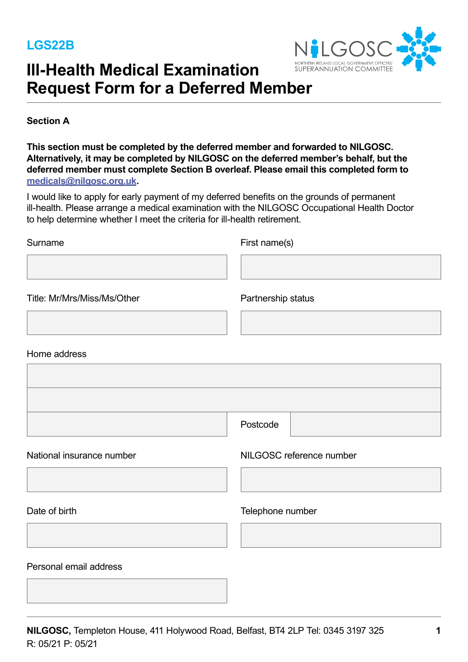

# **Ill-Health Medical Examination Request Form for a Deferred Member**

**Section A** 

This section must be completed by the deferred member and forwarded to NILGOSC. Alternatively, it may be completed by NILGOSC on the deferred member's behalf, but the **deferred member must complete Section B overleaf. Please email this completed form to medicals@nilgosc.org.uk.** 

I would like to apply for early payment of my deferred benefits on the grounds of permanent ill-health. Please arrange a medical examination with the NILGOSC Occupational Health Doctor to help determine whether I meet the criteria for ill-health retirement.

| Surname                     | First name(s)            |  |
|-----------------------------|--------------------------|--|
|                             |                          |  |
| Title: Mr/Mrs/Miss/Ms/Other | Partnership status       |  |
| Home address                |                          |  |
|                             |                          |  |
|                             |                          |  |
|                             | Postcode                 |  |
| National insurance number   | NILGOSC reference number |  |
| Date of birth               | Telephone number         |  |

Date of birth Telephone number

Personal email address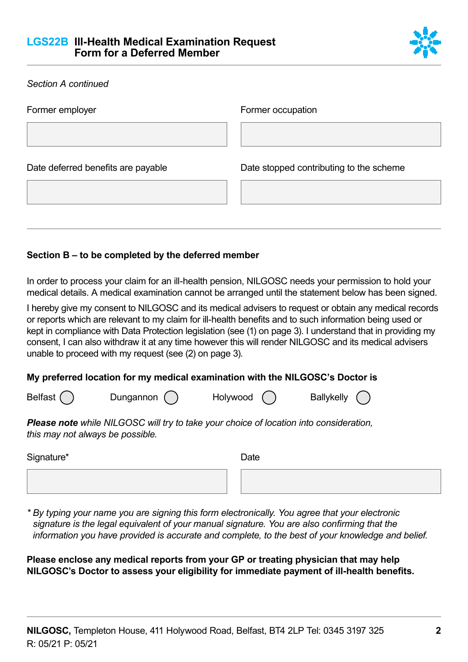

| <b>Section A continued</b>         |                                         |
|------------------------------------|-----------------------------------------|
| Former employer                    | Former occupation                       |
| Date deferred benefits are payable | Date stopped contributing to the scheme |

## **Section B – to be completed by the deferred member**

In order to process your claim for an ill-health pension, NILGOSC needs your permission to hold your medical details. A medical examination cannot be arranged until the statement below has been signed.

I hereby give my consent to NILGOSC and its medical advisers to request or obtain any medical records or reports which are relevant to my claim for ill-health benefits and to such information being used or kept in compliance with Data Protection legislation (see (1) on page 3). I understand that in providing my consent, I can also withdraw it at any time however this will render NILGOSC and its medical advisers unable to proceed with my request (see (2) on page 3).

## **My preferred location for my medical examination with the NILGOSC's Doctor is**

| <b>Belfast</b> |           |          |                   |
|----------------|-----------|----------|-------------------|
|                | Dungannon | Holywood | <b>Ballykelly</b> |

*Please note while NILGOSC will try to take your choice of location into consideration, this may not always be possible.* 

| Signature* | Date |
|------------|------|
|            |      |

*\* By typing your name you are signing this form electronically. You agree that your electronic signature is the legal equivalent of your manual signature. You are also confirming that the information you have provided is accurate and complete, to the best of your knowledge and belief.*

**Please enclose any medical reports from your GP or treating physician that may help NILGOSC's Doctor to assess your eligibility for immediate payment of ill-health benefits.**